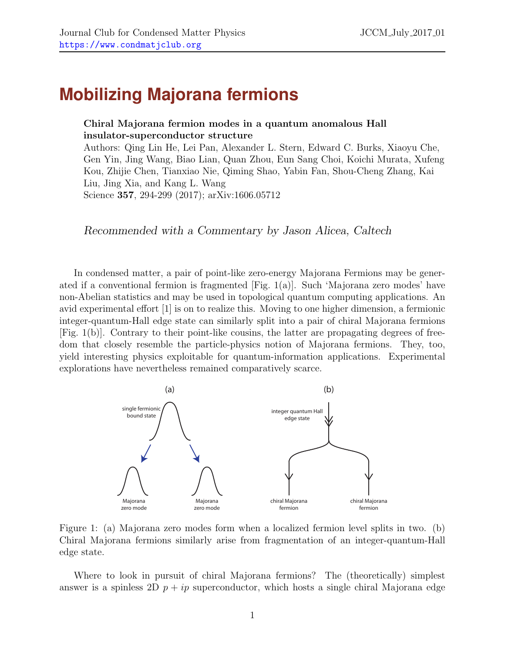## **Mobilizing Majorana fermions**

## Chiral Majorana fermion modes in a quantum anomalous Hall insulator-superconductor structure

Authors: Qing Lin He, Lei Pan, Alexander L. Stern, Edward C. Burks, Xiaoyu Che, Gen Yin, Jing Wang, Biao Lian, Quan Zhou, Eun Sang Choi, Koichi Murata, Xufeng Kou, Zhijie Chen, Tianxiao Nie, Qiming Shao, Yabin Fan, Shou-Cheng Zhang, Kai Liu, Jing Xia, and Kang L. Wang Science 357, 294-299 (2017); arXiv:1606.05712

Recommended with a Commentary by Jason Alicea, Caltech

In condensed matter, a pair of point-like zero-energy Majorana Fermions may be generated if a conventional fermion is fragmented [Fig. [1\(](#page-0-0)a)]. Such 'Majorana zero modes' have non-Abelian statistics and may be used in topological quantum computing applications. An avid experimental effort [\[1\]](#page-2-0) is on to realize this. Moving to one higher dimension, a fermionic integer-quantum-Hall edge state can similarly split into a pair of chiral Majorana fermions [Fig. [1\(](#page-0-0)b)]. Contrary to their point-like cousins, the latter are propagating degrees of freedom that closely resemble the particle-physics notion of Majorana fermions. They, too, yield interesting physics exploitable for quantum-information applications. Experimental explorations have nevertheless remained comparatively scarce.



<span id="page-0-0"></span>Figure 1: (a) Majorana zero modes form when a localized fermion level splits in two. (b) Chiral Majorana fermions similarly arise from fragmentation of an integer-quantum-Hall edge state.

Where to look in pursuit of chiral Majorana fermions? The (theoretically) simplest answer is a spinless 2D  $p + ip$  superconductor, which hosts a single chiral Majorana edge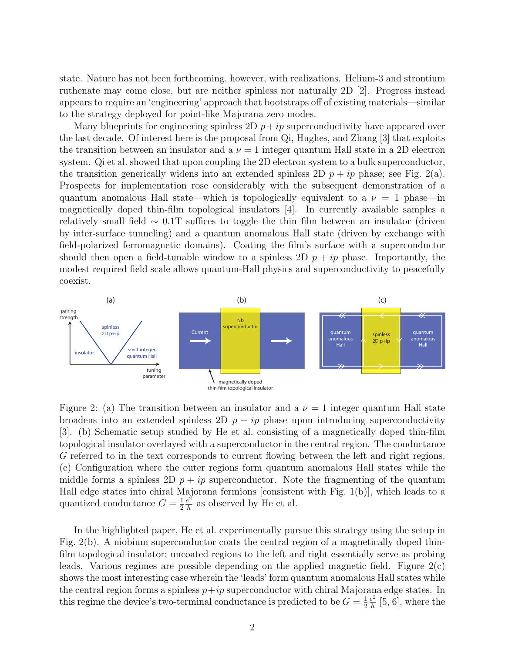state. Nature has not been forthcoming, however, with realizations. Helium-3 and strontium ruthenate may come close, but are neither spinless nor naturally 2D [\[2\]](#page-2-1). Progress instead appears to require an 'engineering' approach that bootstraps off of existing materials—similar to the strategy deployed for point-like Majorana zero modes.

Many blueprints for engineering spinless 2D  $p + ip$  superconductivity have appeared over the last decade. Of interest here is the proposal from Qi, Hughes, and Zhang [\[3\]](#page-2-2) that exploits the transition between an insulator and a  $\nu = 1$  integer quantum Hall state in a 2D electron system. Qi et al. showed that upon coupling the 2D electron system to a bulk superconductor, the transition generically widens into an extended spinless 2D  $p + ip$  phase; see Fig. [2\(](#page-1-0)a). Prospects for implementation rose considerably with the subsequent demonstration of a quantum anomalous Hall state—which is topologically equivalent to a  $\nu = 1$  phase—in magnetically doped thin-film topological insulators [\[4\]](#page-2-3). In currently available samples a relatively small field  $\sim 0.1$ T suffices to toggle the thin film between an insulator (driven by inter-surface tunneling) and a quantum anomalous Hall state (driven by exchange with field-polarized ferromagnetic domains). Coating the film's surface with a superconductor should then open a field-tunable window to a spinless  $2D p + i p$  phase. Importantly, the modest required field scale allows quantum-Hall physics and superconductivity to peacefully coexist.



<span id="page-1-0"></span>Figure 2: (a) The transition between an insulator and a  $\nu = 1$  integer quantum Hall state broadens into an extended spinless 2D  $p + ip$  phase upon introducing superconductivity [\[3\]](#page-2-2). (b) Schematic setup studied by He et al. consisting of a magnetically doped thin-film topological insulator overlayed with a superconductor in the central region. The conductance G referred to in the text corresponds to current flowing between the left and right regions. (c) Configuration where the outer regions form quantum anomalous Hall states while the middle forms a spinless 2D  $p + ip$  superconductor. Note the fragmenting of the quantum Hall edge states into chiral Majorana fermions [consistent with Fig. [1\(](#page-0-0)b)], which leads to a quantized conductance  $G = \frac{1}{2}$ 2  $e^{\hat{2}}$  $\frac{e^2}{h}$  as observed by He et al.

In the highlighted paper, He et al. experimentally pursue this strategy using the setup in Fig. [2\(](#page-1-0)b). A niobium superconductor coats the central region of a magnetically doped thinfilm topological insulator; uncoated regions to the left and right essentially serve as probing leads. Various regimes are possible depending on the applied magnetic field. Figure  $2(c)$  $2(c)$ shows the most interesting case wherein the 'leads' form quantum anomalous Hall states while the central region forms a spinless  $p+ip$  superconductor with chiral Majorana edge states. In this regime the device's two-terminal conductance is predicted to be  $G = \frac{1}{2}$ 2  $e^2$  $\frac{e^2}{h}$  [\[5,](#page-2-4) [6\]](#page-2-5), where the